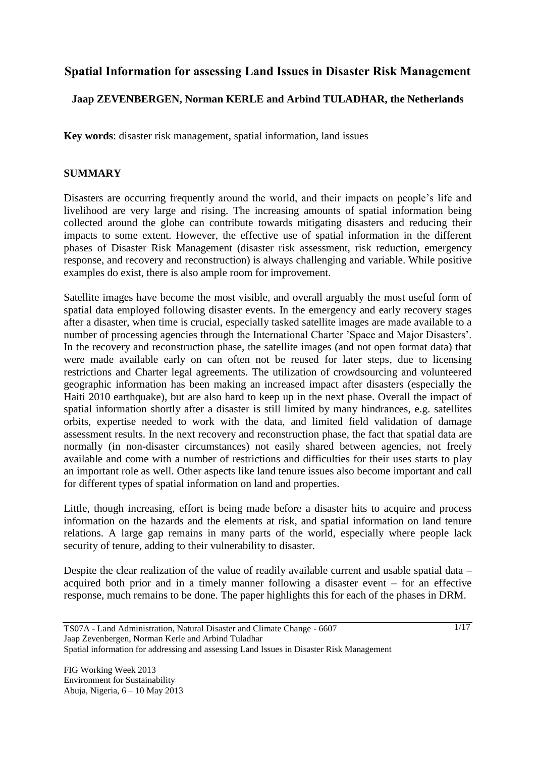# **Spatial Information for assessing Land Issues in Disaster Risk Management**

### **Jaap ZEVENBERGEN, Norman KERLE and Arbind TULADHAR, the Netherlands**

**Key words**: disaster risk management, spatial information, land issues

#### **SUMMARY**

Disasters are occurring frequently around the world, and their impacts on people"s life and livelihood are very large and rising. The increasing amounts of spatial information being collected around the globe can contribute towards mitigating disasters and reducing their impacts to some extent. However, the effective use of spatial information in the different phases of Disaster Risk Management (disaster risk assessment, risk reduction, emergency response, and recovery and reconstruction) is always challenging and variable. While positive examples do exist, there is also ample room for improvement.

Satellite images have become the most visible, and overall arguably the most useful form of spatial data employed following disaster events. In the emergency and early recovery stages after a disaster, when time is crucial, especially tasked satellite images are made available to a number of processing agencies through the International Charter 'Space and Major Disasters'. In the recovery and reconstruction phase, the satellite images (and not open format data) that were made available early on can often not be reused for later steps, due to licensing restrictions and Charter legal agreements. The utilization of crowdsourcing and volunteered geographic information has been making an increased impact after disasters (especially the Haiti 2010 earthquake), but are also hard to keep up in the next phase. Overall the impact of spatial information shortly after a disaster is still limited by many hindrances, e.g. satellites orbits, expertise needed to work with the data, and limited field validation of damage assessment results. In the next recovery and reconstruction phase, the fact that spatial data are normally (in non-disaster circumstances) not easily shared between agencies, not freely available and come with a number of restrictions and difficulties for their uses starts to play an important role as well. Other aspects like land tenure issues also become important and call for different types of spatial information on land and properties.

Little, though increasing, effort is being made before a disaster hits to acquire and process information on the hazards and the elements at risk, and spatial information on land tenure relations. A large gap remains in many parts of the world, especially where people lack security of tenure, adding to their vulnerability to disaster.

Despite the clear realization of the value of readily available current and usable spatial data – acquired both prior and in a timely manner following a disaster event – for an effective response, much remains to be done. The paper highlights this for each of the phases in DRM.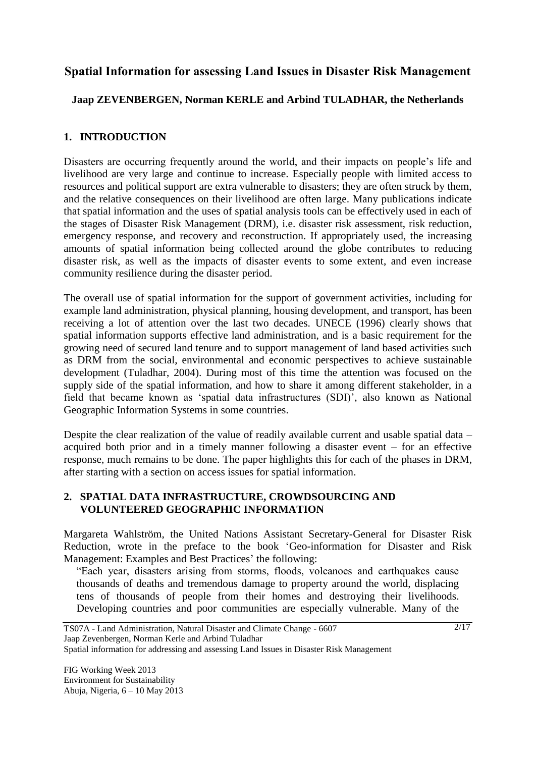# **Spatial Information for assessing Land Issues in Disaster Risk Management**

## **Jaap ZEVENBERGEN, Norman KERLE and Arbind TULADHAR, the Netherlands**

### **1. INTRODUCTION**

Disasters are occurring frequently around the world, and their impacts on people"s life and livelihood are very large and continue to increase. Especially people with limited access to resources and political support are extra vulnerable to disasters; they are often struck by them, and the relative consequences on their livelihood are often large. Many publications indicate that spatial information and the uses of spatial analysis tools can be effectively used in each of the stages of Disaster Risk Management (DRM), i.e. disaster risk assessment, risk reduction, emergency response, and recovery and reconstruction. If appropriately used, the increasing amounts of spatial information being collected around the globe contributes to reducing disaster risk, as well as the impacts of disaster events to some extent, and even increase community resilience during the disaster period.

The overall use of spatial information for the support of government activities, including for example land administration, physical planning, housing development, and transport, has been receiving a lot of attention over the last two decades. UNECE (1996) clearly shows that spatial information supports effective land administration, and is a basic requirement for the growing need of secured land tenure and to support management of land based activities such as DRM from the social, environmental and economic perspectives to achieve sustainable development (Tuladhar, 2004). During most of this time the attention was focused on the supply side of the spatial information, and how to share it among different stakeholder, in a field that became known as "spatial data infrastructures (SDI)", also known as National Geographic Information Systems in some countries.

Despite the clear realization of the value of readily available current and usable spatial data – acquired both prior and in a timely manner following a disaster event – for an effective response, much remains to be done. The paper highlights this for each of the phases in DRM, after starting with a section on access issues for spatial information.

### **2. SPATIAL DATA INFRASTRUCTURE, CROWDSOURCING AND VOLUNTEERED GEOGRAPHIC INFORMATION**

Margareta Wahlström, the United Nations Assistant Secretary-General for Disaster Risk Reduction, wrote in the preface to the book "Geo-information for Disaster and Risk Management: Examples and Best Practices' the following:

"Each year, disasters arising from storms, floods, volcanoes and earthquakes cause thousands of deaths and tremendous damage to property around the world, displacing tens of thousands of people from their homes and destroying their livelihoods. Developing countries and poor communities are especially vulnerable. Many of the

```
Spatial information for addressing and assessing Land Issues in Disaster Risk Management
```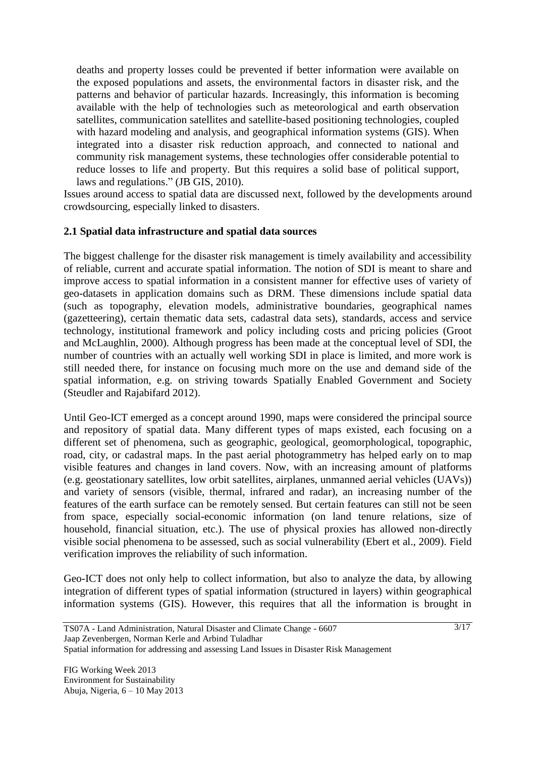deaths and property losses could be prevented if better information were available on the exposed populations and assets, the environmental factors in disaster risk, and the patterns and behavior of particular hazards. Increasingly, this information is becoming available with the help of technologies such as meteorological and earth observation satellites, communication satellites and satellite-based positioning technologies, coupled with hazard modeling and analysis, and geographical information systems (GIS). When integrated into a disaster risk reduction approach, and connected to national and community risk management systems, these technologies offer considerable potential to reduce losses to life and property. But this requires a solid base of political support, laws and regulations." (JB GIS, 2010).

Issues around access to spatial data are discussed next, followed by the developments around crowdsourcing, especially linked to disasters.

### **2.1 Spatial data infrastructure and spatial data sources**

The biggest challenge for the disaster risk management is timely availability and accessibility of reliable, current and accurate spatial information. The notion of SDI is meant to share and improve access to spatial information in a consistent manner for effective uses of variety of geo-datasets in application domains such as DRM. These dimensions include spatial data (such as topography, elevation models, administrative boundaries, geographical names (gazetteering), certain thematic data sets, cadastral data sets), standards, access and service technology, institutional framework and policy including costs and pricing policies (Groot and McLaughlin, 2000). Although progress has been made at the conceptual level of SDI, the number of countries with an actually well working SDI in place is limited, and more work is still needed there, for instance on focusing much more on the use and demand side of the spatial information, e.g. on striving towards Spatially Enabled Government and Society (Steudler and Rajabifard 2012).

Until Geo-ICT emerged as a concept around 1990, maps were considered the principal source and repository of spatial data. Many different types of maps existed, each focusing on a different set of phenomena, such as geographic, geological, geomorphological, topographic, road, city, or cadastral maps. In the past aerial photogrammetry has helped early on to map visible features and changes in land covers. Now, with an increasing amount of platforms (e.g. geostationary satellites, low orbit satellites, airplanes, unmanned aerial vehicles (UAVs)) and variety of sensors (visible, thermal, infrared and radar), an increasing number of the features of the earth surface can be remotely sensed. But certain features can still not be seen from space, especially social-economic information (on land tenure relations, size of household, financial situation, etc.). The use of physical proxies has allowed non-directly visible social phenomena to be assessed, such as social vulnerability (Ebert et al., 2009). Field verification improves the reliability of such information.

Geo-ICT does not only help to collect information, but also to analyze the data, by allowing integration of different types of spatial information (structured in layers) within geographical information systems (GIS). However, this requires that all the information is brought in

Spatial information for addressing and assessing Land Issues in Disaster Risk Management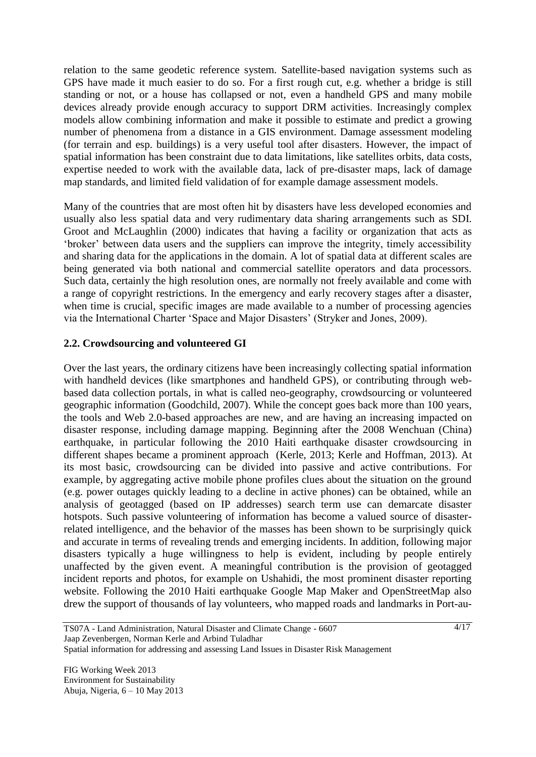relation to the same geodetic reference system. Satellite-based navigation systems such as GPS have made it much easier to do so. For a first rough cut, e.g. whether a bridge is still standing or not, or a house has collapsed or not, even a handheld GPS and many mobile devices already provide enough accuracy to support DRM activities. Increasingly complex models allow combining information and make it possible to estimate and predict a growing number of phenomena from a distance in a GIS environment. Damage assessment modeling (for terrain and esp. buildings) is a very useful tool after disasters. However, the impact of spatial information has been constraint due to data limitations, like satellites orbits, data costs, expertise needed to work with the available data, lack of pre-disaster maps, lack of damage map standards, and limited field validation of for example damage assessment models.

Many of the countries that are most often hit by disasters have less developed economies and usually also less spatial data and very rudimentary data sharing arrangements such as SDI. Groot and McLaughlin (2000) indicates that having a facility or organization that acts as "broker" between data users and the suppliers can improve the integrity, timely accessibility and sharing data for the applications in the domain. A lot of spatial data at different scales are being generated via both national and commercial satellite operators and data processors. Such data, certainly the high resolution ones, are normally not freely available and come with a range of copyright restrictions. In the emergency and early recovery stages after a disaster, when time is crucial, specific images are made available to a number of processing agencies via the International Charter 'Space and Major Disasters' (Stryker and Jones, 2009).

### **2.2. Crowdsourcing and volunteered GI**

Over the last years, the ordinary citizens have been increasingly collecting spatial information with handheld devices (like smartphones and handheld GPS), or contributing through webbased data collection portals, in what is called neo-geography, crowdsourcing or volunteered geographic information (Goodchild, 2007). While the concept goes back more than 100 years, the tools and Web 2.0-based approaches are new, and are having an increasing impacted on disaster response, including damage mapping. Beginning after the 2008 Wenchuan (China) earthquake, in particular following the 2010 Haiti earthquake disaster crowdsourcing in different shapes became a prominent approach (Kerle, 2013; Kerle and Hoffman, 2013). At its most basic, crowdsourcing can be divided into passive and active contributions. For example, by aggregating active mobile phone profiles clues about the situation on the ground (e.g. power outages quickly leading to a decline in active phones) can be obtained, while an analysis of geotagged (based on IP addresses) search term use can demarcate disaster hotspots. Such passive volunteering of information has become a valued source of disasterrelated intelligence, and the behavior of the masses has been shown to be surprisingly quick and accurate in terms of revealing trends and emerging incidents. In addition, following major disasters typically a huge willingness to help is evident, including by people entirely unaffected by the given event. A meaningful contribution is the provision of geotagged incident reports and photos, for example on Ushahidi, the most prominent disaster reporting website. Following the 2010 Haiti earthquake Google Map Maker and OpenStreetMap also drew the support of thousands of lay volunteers, who mapped roads and landmarks in Port-au-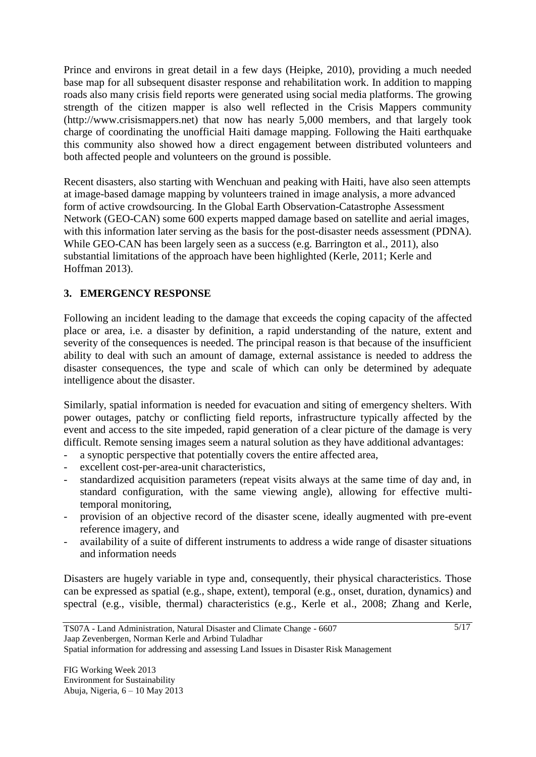Prince and environs in great detail in a few days (Heipke, 2010), providing a much needed base map for all subsequent disaster response and rehabilitation work. In addition to mapping roads also many crisis field reports were generated using social media platforms. The growing strength of the citizen mapper is also well reflected in the Crisis Mappers community (http://www.crisismappers.net) that now has nearly 5,000 members, and that largely took charge of coordinating the unofficial Haiti damage mapping. Following the Haiti earthquake this community also showed how a direct engagement between distributed volunteers and both affected people and volunteers on the ground is possible.

Recent disasters, also starting with Wenchuan and peaking with Haiti, have also seen attempts at image-based damage mapping by volunteers trained in image analysis, a more advanced form of active crowdsourcing. In the Global Earth Observation-Catastrophe Assessment Network (GEO-CAN) some 600 experts mapped damage based on satellite and aerial images, with this information later serving as the basis for the post-disaster needs assessment (PDNA). While GEO-CAN has been largely seen as a success (e.g. Barrington et al., 2011), also substantial limitations of the approach have been highlighted (Kerle, 2011; Kerle and Hoffman 2013).

## **3. EMERGENCY RESPONSE**

Following an incident leading to the damage that exceeds the coping capacity of the affected place or area, i.e. a disaster by definition, a rapid understanding of the nature, extent and severity of the consequences is needed. The principal reason is that because of the insufficient ability to deal with such an amount of damage, external assistance is needed to address the disaster consequences, the type and scale of which can only be determined by adequate intelligence about the disaster.

Similarly, spatial information is needed for evacuation and siting of emergency shelters. With power outages, patchy or conflicting field reports, infrastructure typically affected by the event and access to the site impeded, rapid generation of a clear picture of the damage is very difficult. Remote sensing images seem a natural solution as they have additional advantages:

- a synoptic perspective that potentially covers the entire affected area,
- excellent cost-per-area-unit characteristics,
- standardized acquisition parameters (repeat visits always at the same time of day and, in standard configuration, with the same viewing angle), allowing for effective multitemporal monitoring,
- provision of an objective record of the disaster scene, ideally augmented with pre-event reference imagery, and
- availability of a suite of different instruments to address a wide range of disaster situations and information needs

Disasters are hugely variable in type and, consequently, their physical characteristics. Those can be expressed as spatial (e.g., shape, extent), temporal (e.g., onset, duration, dynamics) and spectral (e.g., visible, thermal) characteristics (e.g., Kerle et al., 2008; Zhang and Kerle,

Spatial information for addressing and assessing Land Issues in Disaster Risk Management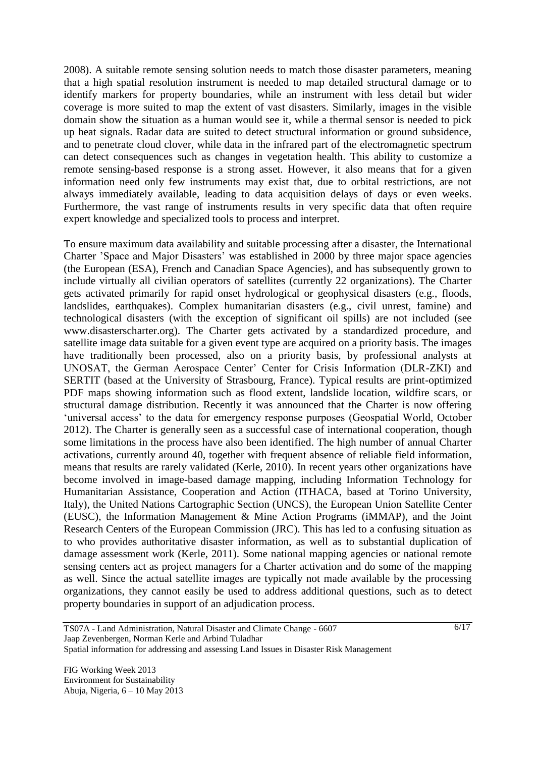2008). A suitable remote sensing solution needs to match those disaster parameters, meaning that a high spatial resolution instrument is needed to map detailed structural damage or to identify markers for property boundaries, while an instrument with less detail but wider coverage is more suited to map the extent of vast disasters. Similarly, images in the visible domain show the situation as a human would see it, while a thermal sensor is needed to pick up heat signals. Radar data are suited to detect structural information or ground subsidence, and to penetrate cloud clover, while data in the infrared part of the electromagnetic spectrum can detect consequences such as changes in vegetation health. This ability to customize a remote sensing-based response is a strong asset. However, it also means that for a given information need only few instruments may exist that, due to orbital restrictions, are not always immediately available, leading to data acquisition delays of days or even weeks. Furthermore, the vast range of instruments results in very specific data that often require expert knowledge and specialized tools to process and interpret.

To ensure maximum data availability and suitable processing after a disaster, the International Charter "Space and Major Disasters" was established in 2000 by three major space agencies (the European (ESA), French and Canadian Space Agencies), and has subsequently grown to include virtually all civilian operators of satellites (currently 22 organizations). The Charter gets activated primarily for rapid onset hydrological or geophysical disasters (e.g., floods, landslides, earthquakes). Complex humanitarian disasters (e.g., civil unrest, famine) and technological disasters (with the exception of significant oil spills) are not included (see www.disasterscharter.org). The Charter gets activated by a standardized procedure, and satellite image data suitable for a given event type are acquired on a priority basis. The images have traditionally been processed, also on a priority basis, by professional analysts at UNOSAT, the German Aerospace Center' Center for Crisis Information (DLR-ZKI) and SERTIT (based at the University of Strasbourg, France). Typical results are print-optimized PDF maps showing information such as flood extent, landslide location, wildfire scars, or structural damage distribution. Recently it was announced that the Charter is now offering 'universal access' to the data for emergency response purposes (Geospatial World, October 2012). The Charter is generally seen as a successful case of international cooperation, though some limitations in the process have also been identified. The high number of annual Charter activations, currently around 40, together with frequent absence of reliable field information, means that results are rarely validated (Kerle, 2010). In recent years other organizations have become involved in image-based damage mapping, including Information Technology for Humanitarian Assistance, Cooperation and Action (ITHACA, based at Torino University, Italy), the United Nations Cartographic Section (UNCS), the European Union Satellite Center (EUSC), the Information Management & Mine Action Programs (iMMAP), and the Joint Research Centers of the European Commission (JRC). This has led to a confusing situation as to who provides authoritative disaster information, as well as to substantial duplication of damage assessment work (Kerle, 2011). Some national mapping agencies or national remote sensing centers act as project managers for a Charter activation and do some of the mapping as well. Since the actual satellite images are typically not made available by the processing organizations, they cannot easily be used to address additional questions, such as to detect property boundaries in support of an adjudication process.

Spatial information for addressing and assessing Land Issues in Disaster Risk Management

TS07A - Land Administration, Natural Disaster and Climate Change - 6607 Jaap Zevenbergen, Norman Kerle and Arbind Tuladhar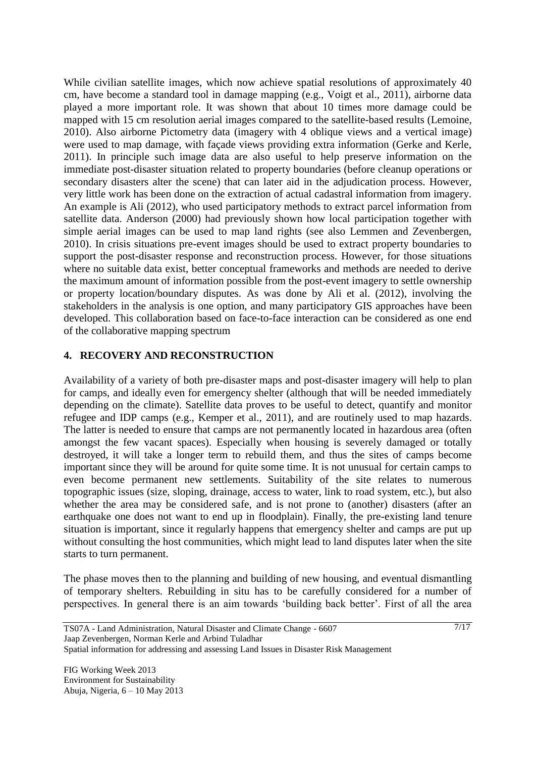While civilian satellite images, which now achieve spatial resolutions of approximately 40 cm, have become a standard tool in damage mapping (e.g., Voigt et al., 2011), airborne data played a more important role. It was shown that about 10 times more damage could be mapped with 15 cm resolution aerial images compared to the satellite-based results (Lemoine, 2010). Also airborne Pictometry data (imagery with 4 oblique views and a vertical image) were used to map damage, with façade views providing extra information (Gerke and Kerle, 2011). In principle such image data are also useful to help preserve information on the immediate post-disaster situation related to property boundaries (before cleanup operations or secondary disasters alter the scene) that can later aid in the adjudication process. However, very little work has been done on the extraction of actual cadastral information from imagery. An example is Ali (2012), who used participatory methods to extract parcel information from satellite data. Anderson (2000) had previously shown how local participation together with simple aerial images can be used to map land rights (see also Lemmen and Zevenbergen, 2010). In crisis situations pre-event images should be used to extract property boundaries to support the post-disaster response and reconstruction process. However, for those situations where no suitable data exist, better conceptual frameworks and methods are needed to derive the maximum amount of information possible from the post-event imagery to settle ownership or property location/boundary disputes. As was done by Ali et al. (2012), involving the stakeholders in the analysis is one option, and many participatory GIS approaches have been developed. This collaboration based on face-to-face interaction can be considered as one end of the collaborative mapping spectrum

#### **4. RECOVERY AND RECONSTRUCTION**

Availability of a variety of both pre-disaster maps and post-disaster imagery will help to plan for camps, and ideally even for emergency shelter (although that will be needed immediately depending on the climate). Satellite data proves to be useful to detect, quantify and monitor refugee and IDP camps (e.g., Kemper et al., 2011), and are routinely used to map hazards. The latter is needed to ensure that camps are not permanently located in hazardous area (often amongst the few vacant spaces). Especially when housing is severely damaged or totally destroyed, it will take a longer term to rebuild them, and thus the sites of camps become important since they will be around for quite some time. It is not unusual for certain camps to even become permanent new settlements. Suitability of the site relates to numerous topographic issues (size, sloping, drainage, access to water, link to road system, etc.), but also whether the area may be considered safe, and is not prone to (another) disasters (after an earthquake one does not want to end up in floodplain). Finally, the pre-existing land tenure situation is important, since it regularly happens that emergency shelter and camps are put up without consulting the host communities, which might lead to land disputes later when the site starts to turn permanent.

The phase moves then to the planning and building of new housing, and eventual dismantling of temporary shelters. Rebuilding in situ has to be carefully considered for a number of perspectives. In general there is an aim towards "building back better". First of all the area

Spatial information for addressing and assessing Land Issues in Disaster Risk Management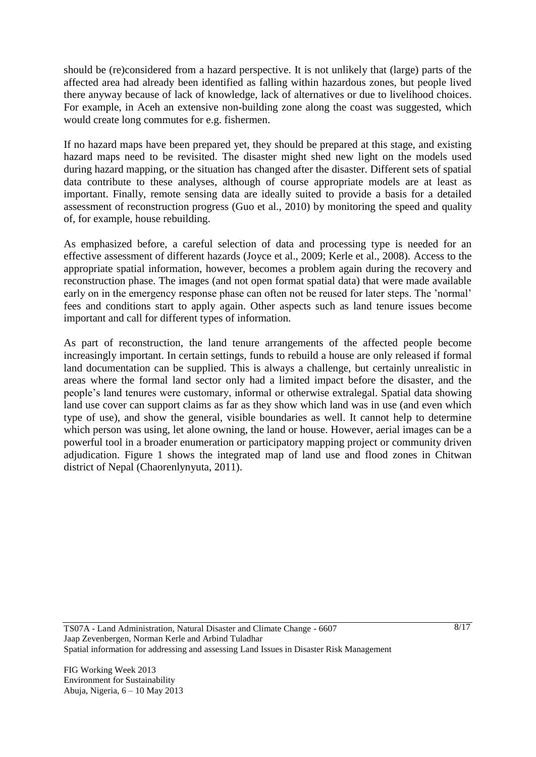should be (re)considered from a hazard perspective. It is not unlikely that (large) parts of the affected area had already been identified as falling within hazardous zones, but people lived there anyway because of lack of knowledge, lack of alternatives or due to livelihood choices. For example, in Aceh an extensive non-building zone along the coast was suggested, which would create long commutes for e.g. fishermen.

If no hazard maps have been prepared yet, they should be prepared at this stage, and existing hazard maps need to be revisited. The disaster might shed new light on the models used during hazard mapping, or the situation has changed after the disaster. Different sets of spatial data contribute to these analyses, although of course appropriate models are at least as important. Finally, remote sensing data are ideally suited to provide a basis for a detailed assessment of reconstruction progress (Guo et al., 2010) by monitoring the speed and quality of, for example, house rebuilding.

As emphasized before, a careful selection of data and processing type is needed for an effective assessment of different hazards (Joyce et al., 2009; Kerle et al., 2008). Access to the appropriate spatial information, however, becomes a problem again during the recovery and reconstruction phase. The images (and not open format spatial data) that were made available early on in the emergency response phase can often not be reused for later steps. The 'normal' fees and conditions start to apply again. Other aspects such as land tenure issues become important and call for different types of information.

As part of reconstruction, the land tenure arrangements of the affected people become increasingly important. In certain settings, funds to rebuild a house are only released if formal land documentation can be supplied. This is always a challenge, but certainly unrealistic in areas where the formal land sector only had a limited impact before the disaster, and the people"s land tenures were customary, informal or otherwise extralegal. Spatial data showing land use cover can support claims as far as they show which land was in use (and even which type of use), and show the general, visible boundaries as well. It cannot help to determine which person was using, let alone owning, the land or house. However, aerial images can be a powerful tool in a broader enumeration or participatory mapping project or community driven adjudication. Figure 1 shows the integrated map of land use and flood zones in Chitwan district of Nepal (Chaorenlynyuta, 2011).

TS07A - Land Administration, Natural Disaster and Climate Change - 6607 Jaap Zevenbergen, Norman Kerle and Arbind Tuladhar Spatial information for addressing and assessing Land Issues in Disaster Risk Management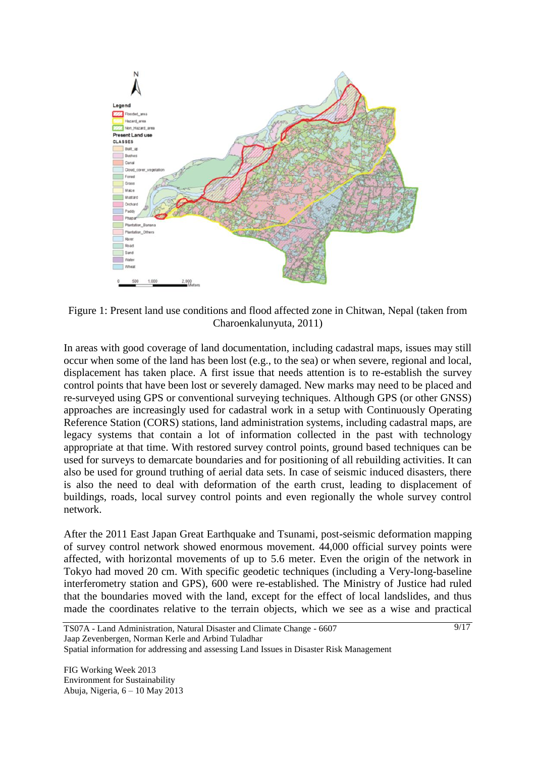

Figure 1: Present land use conditions and flood affected zone in Chitwan, Nepal (taken from Charoenkalunyuta, 2011)

In areas with good coverage of land documentation, including cadastral maps, issues may still occur when some of the land has been lost (e.g., to the sea) or when severe, regional and local, displacement has taken place. A first issue that needs attention is to re-establish the survey control points that have been lost or severely damaged. New marks may need to be placed and re-surveyed using GPS or conventional surveying techniques. Although GPS (or other GNSS) approaches are increasingly used for cadastral work in a setup with Continuously Operating Reference Station (CORS) stations, land administration systems, including cadastral maps, are legacy systems that contain a lot of information collected in the past with technology appropriate at that time. With restored survey control points, ground based techniques can be used for surveys to demarcate boundaries and for positioning of all rebuilding activities. It can also be used for ground truthing of aerial data sets. In case of seismic induced disasters, there is also the need to deal with deformation of the earth crust, leading to displacement of buildings, roads, local survey control points and even regionally the whole survey control network.

After the 2011 East Japan Great Earthquake and Tsunami, post-seismic deformation mapping of survey control network showed enormous movement. 44,000 official survey points were affected, with horizontal movements of up to 5.6 meter. Even the origin of the network in Tokyo had moved 20 cm. With specific geodetic techniques (including a Very-long-baseline interferometry station and GPS), 600 were re-established. The Ministry of Justice had ruled that the boundaries moved with the land, except for the effect of local landslides, and thus made the coordinates relative to the terrain objects, which we see as a wise and practical

Spatial information for addressing and assessing Land Issues in Disaster Risk Management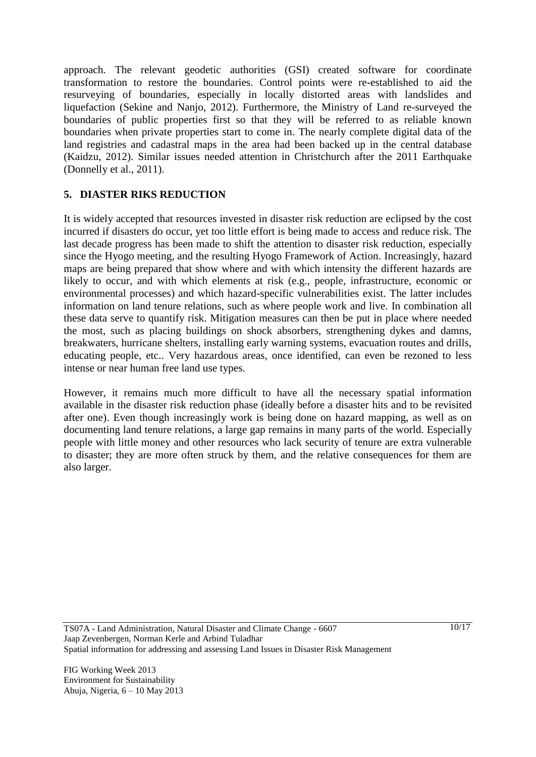approach. The relevant geodetic authorities (GSI) created software for coordinate transformation to restore the boundaries. Control points were re-established to aid the resurveying of boundaries, especially in locally distorted areas with landslides and liquefaction (Sekine and Nanjo, 2012). Furthermore, the Ministry of Land re-surveyed the boundaries of public properties first so that they will be referred to as reliable known boundaries when private properties start to come in. The nearly complete digital data of the land registries and cadastral maps in the area had been backed up in the central database (Kaidzu, 2012). Similar issues needed attention in Christchurch after the 2011 Earthquake (Donnelly et al., 2011).

### **5. DIASTER RIKS REDUCTION**

It is widely accepted that resources invested in disaster risk reduction are eclipsed by the cost incurred if disasters do occur, yet too little effort is being made to access and reduce risk. The last decade progress has been made to shift the attention to disaster risk reduction, especially since the Hyogo meeting, and the resulting Hyogo Framework of Action. Increasingly, hazard maps are being prepared that show where and with which intensity the different hazards are likely to occur, and with which elements at risk (e.g., people, infrastructure, economic or environmental processes) and which hazard-specific vulnerabilities exist. The latter includes information on land tenure relations, such as where people work and live. In combination all these data serve to quantify risk. Mitigation measures can then be put in place where needed the most, such as placing buildings on shock absorbers, strengthening dykes and damns, breakwaters, hurricane shelters, installing early warning systems, evacuation routes and drills, educating people, etc.. Very hazardous areas, once identified, can even be rezoned to less intense or near human free land use types.

However, it remains much more difficult to have all the necessary spatial information available in the disaster risk reduction phase (ideally before a disaster hits and to be revisited after one). Even though increasingly work is being done on hazard mapping, as well as on documenting land tenure relations, a large gap remains in many parts of the world. Especially people with little money and other resources who lack security of tenure are extra vulnerable to disaster; they are more often struck by them, and the relative consequences for them are also larger.

TS07A - Land Administration, Natural Disaster and Climate Change - 6607 Jaap Zevenbergen, Norman Kerle and Arbind Tuladhar Spatial information for addressing and assessing Land Issues in Disaster Risk Management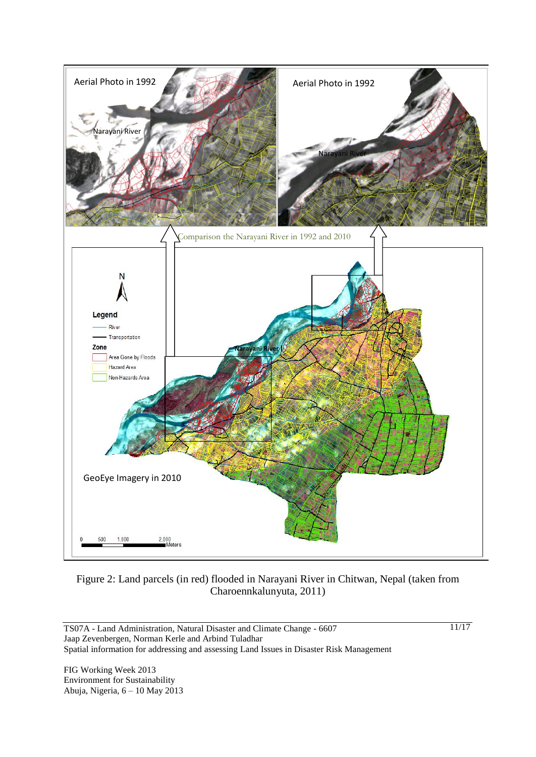

Figure 2: Land parcels (in red) flooded in Narayani River in Chitwan, Nepal (taken from Charoennkalunyuta, 2011)

TS07A - Land Administration, Natural Disaster and Climate Change - 6607 Jaap Zevenbergen, Norman Kerle and Arbind Tuladhar Spatial information for addressing and assessing Land Issues in Disaster Risk Management

FIG Working Week 2013 Environment for Sustainability Abuja, Nigeria, 6 – 10 May 2013 11/17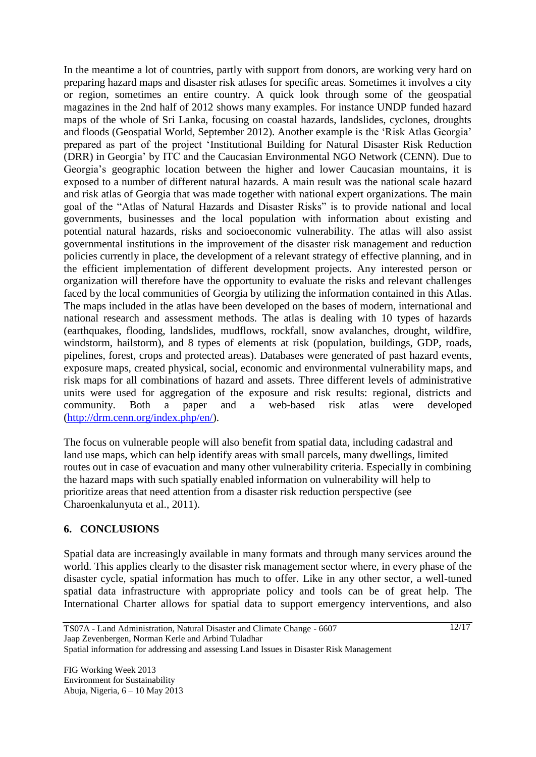In the meantime a lot of countries, partly with support from donors, are working very hard on preparing hazard maps and disaster risk atlases for specific areas. Sometimes it involves a city or region, sometimes an entire country. A quick look through some of the geospatial magazines in the 2nd half of 2012 shows many examples. For instance UNDP funded hazard maps of the whole of Sri Lanka, focusing on coastal hazards, landslides, cyclones, droughts and floods (Geospatial World, September 2012). Another example is the "Risk Atlas Georgia" prepared as part of the project "Institutional Building for Natural Disaster Risk Reduction (DRR) in Georgia" by ITC and the Caucasian Environmental NGO Network (CENN). Due to Georgia"s geographic location between the higher and lower Caucasian mountains, it is exposed to a number of different natural hazards. A main result was the national scale hazard and risk atlas of Georgia that was made together with national expert organizations. The main goal of the "Atlas of Natural Hazards and Disaster Risks" is to provide national and local governments, businesses and the local population with information about existing and potential natural hazards, risks and socioeconomic vulnerability. The atlas will also assist governmental institutions in the improvement of the disaster risk management and reduction policies currently in place, the development of a relevant strategy of effective planning, and in the efficient implementation of different development projects. Any interested person or organization will therefore have the opportunity to evaluate the risks and relevant challenges faced by the local communities of Georgia by utilizing the information contained in this Atlas. The maps included in the atlas have been developed on the bases of modern, international and national research and assessment methods. The atlas is dealing with 10 types of hazards (earthquakes, flooding, landslides, mudflows, rockfall, snow avalanches, drought, wildfire, windstorm, hailstorm), and 8 types of elements at risk (population, buildings, GDP, roads, pipelines, forest, crops and protected areas). Databases were generated of past hazard events, exposure maps, created physical, social, economic and environmental vulnerability maps, and risk maps for all combinations of hazard and assets. Three different levels of administrative units were used for aggregation of the exposure and risk results: regional, districts and community. Both a paper and a web-based risk atlas were developed [\(http://drm.cenn.org/index.php/en/\)](http://drm.cenn.org/index.php/en/).

The focus on vulnerable people will also benefit from spatial data, including cadastral and land use maps, which can help identify areas with small parcels, many dwellings, limited routes out in case of evacuation and many other vulnerability criteria. Especially in combining the hazard maps with such spatially enabled information on vulnerability will help to prioritize areas that need attention from a disaster risk reduction perspective (see Charoenkalunyuta et al., 2011).

### **6. CONCLUSIONS**

Spatial data are increasingly available in many formats and through many services around the world. This applies clearly to the disaster risk management sector where, in every phase of the disaster cycle, spatial information has much to offer. Like in any other sector, a well-tuned spatial data infrastructure with appropriate policy and tools can be of great help. The International Charter allows for spatial data to support emergency interventions, and also

Spatial information for addressing and assessing Land Issues in Disaster Risk Management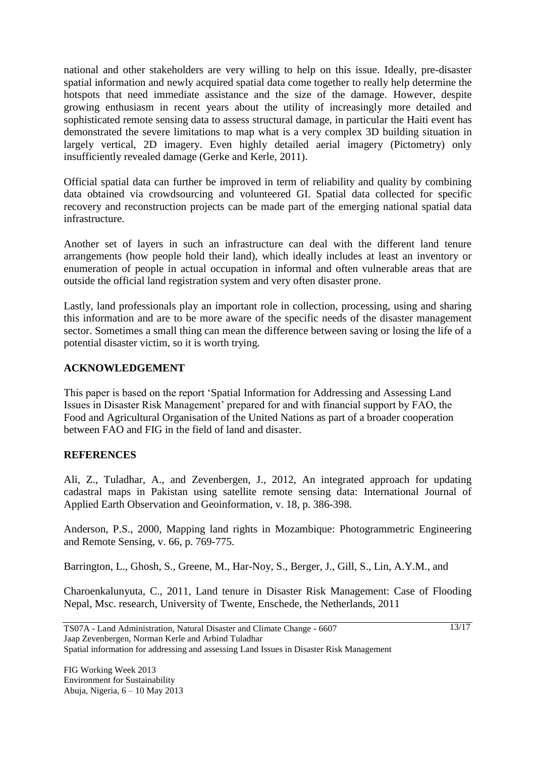national and other stakeholders are very willing to help on this issue. Ideally, pre-disaster spatial information and newly acquired spatial data come together to really help determine the hotspots that need immediate assistance and the size of the damage. However, despite growing enthusiasm in recent years about the utility of increasingly more detailed and sophisticated remote sensing data to assess structural damage, in particular the Haiti event has demonstrated the severe limitations to map what is a very complex 3D building situation in largely vertical, 2D imagery. Even highly detailed aerial imagery (Pictometry) only insufficiently revealed damage (Gerke and Kerle, 2011).

Official spatial data can further be improved in term of reliability and quality by combining data obtained via crowdsourcing and volunteered GI. Spatial data collected for specific recovery and reconstruction projects can be made part of the emerging national spatial data infrastructure.

Another set of layers in such an infrastructure can deal with the different land tenure arrangements (how people hold their land), which ideally includes at least an inventory or enumeration of people in actual occupation in informal and often vulnerable areas that are outside the official land registration system and very often disaster prone.

Lastly, land professionals play an important role in collection, processing, using and sharing this information and are to be more aware of the specific needs of the disaster management sector. Sometimes a small thing can mean the difference between saving or losing the life of a potential disaster victim, so it is worth trying.

### **ACKNOWLEDGEMENT**

This paper is based on the report "Spatial Information for Addressing and Assessing Land Issues in Disaster Risk Management" prepared for and with financial support by FAO, the Food and Agricultural Organisation of the United Nations as part of a broader cooperation between FAO and FIG in the field of land and disaster.

### **REFERENCES**

Ali, Z., Tuladhar, A., and Zevenbergen, J., 2012, An integrated approach for updating cadastral maps in Pakistan using satellite remote sensing data: International Journal of Applied Earth Observation and Geoinformation, v. 18, p. 386-398.

Anderson, P.S., 2000, Mapping land rights in Mozambique: Photogrammetric Engineering and Remote Sensing, v. 66, p. 769-775.

Barrington, L., Ghosh, S., Greene, M., Har-Noy, S., Berger, J., Gill, S., Lin, A.Y.M., and

Charoenkalunyuta, C., 2011, Land tenure in Disaster Risk Management: Case of Flooding Nepal, Msc. research, University of Twente, Enschede, the Netherlands, 2011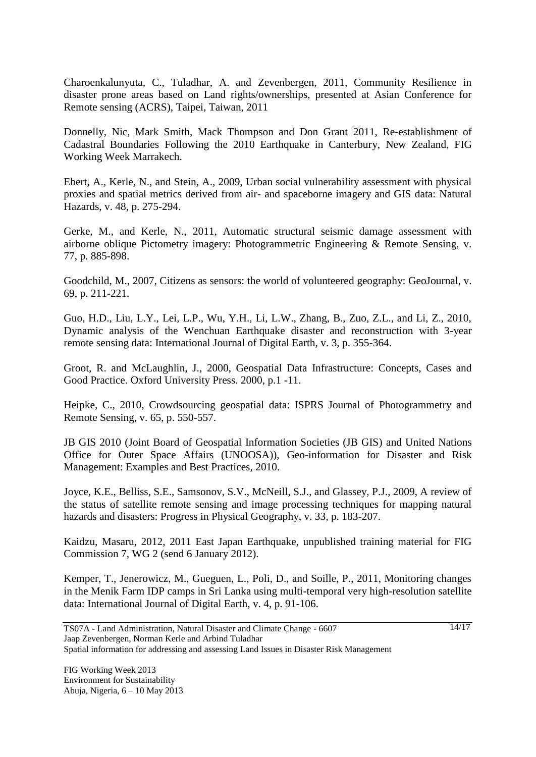Charoenkalunyuta, C., Tuladhar, A. and Zevenbergen, 2011, Community Resilience in disaster prone areas based on Land rights/ownerships, presented at Asian Conference for Remote sensing (ACRS), Taipei, Taiwan, 2011

Donnelly, Nic, Mark Smith, Mack Thompson and Don Grant 2011, Re-establishment of Cadastral Boundaries Following the 2010 Earthquake in Canterbury, New Zealand, FIG Working Week Marrakech.

Ebert, A., Kerle, N., and Stein, A., 2009, Urban social vulnerability assessment with physical proxies and spatial metrics derived from air- and spaceborne imagery and GIS data: Natural Hazards, v. 48, p. 275-294.

Gerke, M., and Kerle, N., 2011, Automatic structural seismic damage assessment with airborne oblique Pictometry imagery: Photogrammetric Engineering & Remote Sensing, v. 77, p. 885-898.

Goodchild, M., 2007, Citizens as sensors: the world of volunteered geography: GeoJournal, v. 69, p. 211-221.

Guo, H.D., Liu, L.Y., Lei, L.P., Wu, Y.H., Li, L.W., Zhang, B., Zuo, Z.L., and Li, Z., 2010, Dynamic analysis of the Wenchuan Earthquake disaster and reconstruction with 3-year remote sensing data: International Journal of Digital Earth, v. 3, p. 355-364.

Groot, R. and McLaughlin, J., 2000, Geospatial Data Infrastructure: Concepts, Cases and Good Practice. Oxford University Press. 2000, p.1 -11.

Heipke, C., 2010, Crowdsourcing geospatial data: ISPRS Journal of Photogrammetry and Remote Sensing, v. 65, p. 550-557.

JB GIS 2010 (Joint Board of Geospatial Information Societies (JB GIS) and United Nations Office for Outer Space Affairs (UNOOSA)), Geo-information for Disaster and Risk Management: Examples and Best Practices, 2010.

Joyce, K.E., Belliss, S.E., Samsonov, S.V., McNeill, S.J., and Glassey, P.J., 2009, A review of the status of satellite remote sensing and image processing techniques for mapping natural hazards and disasters: Progress in Physical Geography, v. 33, p. 183-207.

Kaidzu, Masaru, 2012, 2011 East Japan Earthquake, unpublished training material for FIG Commission 7, WG 2 (send 6 January 2012).

Kemper, T., Jenerowicz, M., Gueguen, L., Poli, D., and Soille, P., 2011, Monitoring changes in the Menik Farm IDP camps in Sri Lanka using multi-temporal very high-resolution satellite data: International Journal of Digital Earth, v. 4, p. 91-106.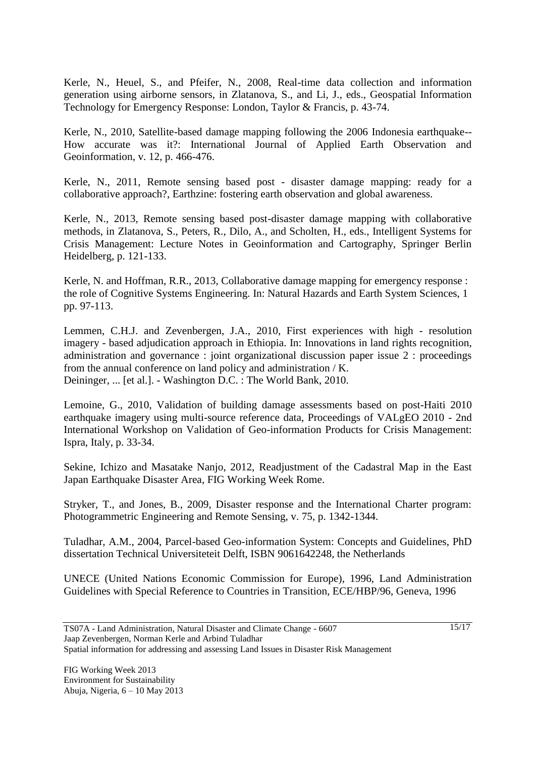Kerle, N., Heuel, S., and Pfeifer, N., 2008, Real-time data collection and information generation using airborne sensors, in Zlatanova, S., and Li, J., eds., Geospatial Information Technology for Emergency Response: London, Taylor & Francis, p. 43-74.

Kerle, N., 2010, Satellite-based damage mapping following the 2006 Indonesia earthquake-- How accurate was it?: International Journal of Applied Earth Observation and Geoinformation, v. 12, p. 466-476.

Kerle, N., 2011, Remote sensing based post - disaster damage mapping: ready for a collaborative approach?, Earthzine: fostering earth observation and global awareness.

Kerle, N., 2013, Remote sensing based post-disaster damage mapping with collaborative methods, in Zlatanova, S., Peters, R., Dilo, A., and Scholten, H., eds., Intelligent Systems for Crisis Management: Lecture Notes in Geoinformation and Cartography, Springer Berlin Heidelberg, p. 121-133.

Kerle, N. and Hoffman, R.R., 2013, Collaborative damage mapping for emergency response : the role of Cognitive Systems Engineering. In: Natural Hazards and Earth System Sciences, 1 pp. 97-113.

Lemmen, C.H.J. and Zevenbergen, J.A., 2010, First experiences with high - resolution imagery - based adjudication approach in Ethiopia. In: Innovations in land rights recognition, administration and governance : joint organizational discussion paper issue 2 : proceedings from the annual conference on land policy and administration / K. Deininger, ... [et al.]. - Washington D.C. : The World Bank, 2010.

Lemoine, G., 2010, Validation of building damage assessments based on post-Haiti 2010 earthquake imagery using multi-source reference data, Proceedings of VALgEO 2010 - 2nd International Workshop on Validation of Geo-information Products for Crisis Management: Ispra, Italy, p. 33-34.

Sekine, Ichizo and Masatake Nanjo, 2012, Readjustment of the Cadastral Map in the East Japan Earthquake Disaster Area, FIG Working Week Rome.

Stryker, T., and Jones, B., 2009, Disaster response and the International Charter program: Photogrammetric Engineering and Remote Sensing, v. 75, p. 1342-1344.

Tuladhar, A.M., 2004, Parcel-based Geo-information System: Concepts and Guidelines, PhD dissertation Technical Universiteteit Delft, ISBN 9061642248, the Netherlands

UNECE (United Nations Economic Commission for Europe), 1996, Land Administration Guidelines with Special Reference to Countries in Transition, ECE/HBP/96, Geneva, 1996

Jaap Zevenbergen, Norman Kerle and Arbind Tuladhar

Spatial information for addressing and assessing Land Issues in Disaster Risk Management

TS07A - Land Administration, Natural Disaster and Climate Change - 6607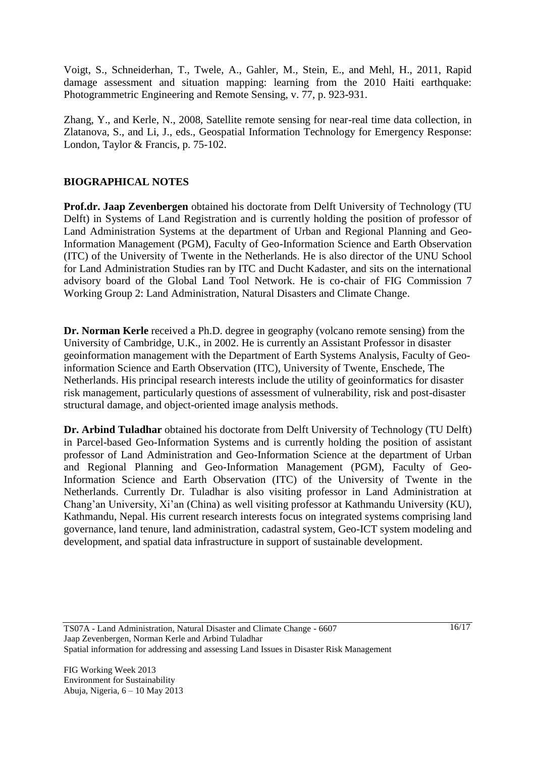Voigt, S., Schneiderhan, T., Twele, A., Gahler, M., Stein, E., and Mehl, H., 2011, Rapid damage assessment and situation mapping: learning from the 2010 Haiti earthquake: Photogrammetric Engineering and Remote Sensing, v. 77, p. 923-931.

Zhang, Y., and Kerle, N., 2008, Satellite remote sensing for near-real time data collection, in Zlatanova, S., and Li, J., eds., Geospatial Information Technology for Emergency Response: London, Taylor & Francis, p. 75-102.

### **BIOGRAPHICAL NOTES**

**Prof.dr. Jaap Zevenbergen** obtained his doctorate from Delft University of Technology (TU Delft) in Systems of Land Registration and is currently holding the position of professor of Land Administration Systems at the department of Urban and Regional Planning and Geo-Information Management (PGM), Faculty of Geo-Information Science and Earth Observation (ITC) of the University of Twente in the Netherlands. He is also director of the UNU School for Land Administration Studies ran by ITC and Ducht Kadaster, and sits on the international advisory board of the Global Land Tool Network. He is co-chair of FIG Commission 7 Working Group 2: Land Administration, Natural Disasters and Climate Change.

**Dr. Norman Kerle** received a Ph.D. degree in geography (volcano remote sensing) from the University of Cambridge, U.K., in 2002. He is currently an Assistant Professor in disaster geoinformation management with the Department of Earth Systems Analysis, Faculty of Geoinformation Science and Earth Observation (ITC), University of Twente, Enschede, The Netherlands. His principal research interests include the utility of geoinformatics for disaster risk management, particularly questions of assessment of vulnerability, risk and post-disaster structural damage, and object-oriented image analysis methods.

**Dr. Arbind Tuladhar** obtained his doctorate from Delft University of Technology (TU Delft) in Parcel-based Geo-Information Systems and is currently holding the position of assistant professor of Land Administration and Geo-Information Science at the department of Urban and Regional Planning and Geo-Information Management (PGM), Faculty of Geo-Information Science and Earth Observation (ITC) of the University of Twente in the Netherlands. Currently Dr. Tuladhar is also visiting professor in Land Administration at Chang"an University, Xi"an (China) as well visiting professor at Kathmandu University (KU), Kathmandu, Nepal. His current research interests focus on integrated systems comprising land governance, land tenure, land administration, cadastral system, Geo-ICT system modeling and development, and spatial data infrastructure in support of sustainable development.

TS07A - Land Administration, Natural Disaster and Climate Change - 6607 Jaap Zevenbergen, Norman Kerle and Arbind Tuladhar Spatial information for addressing and assessing Land Issues in Disaster Risk Management